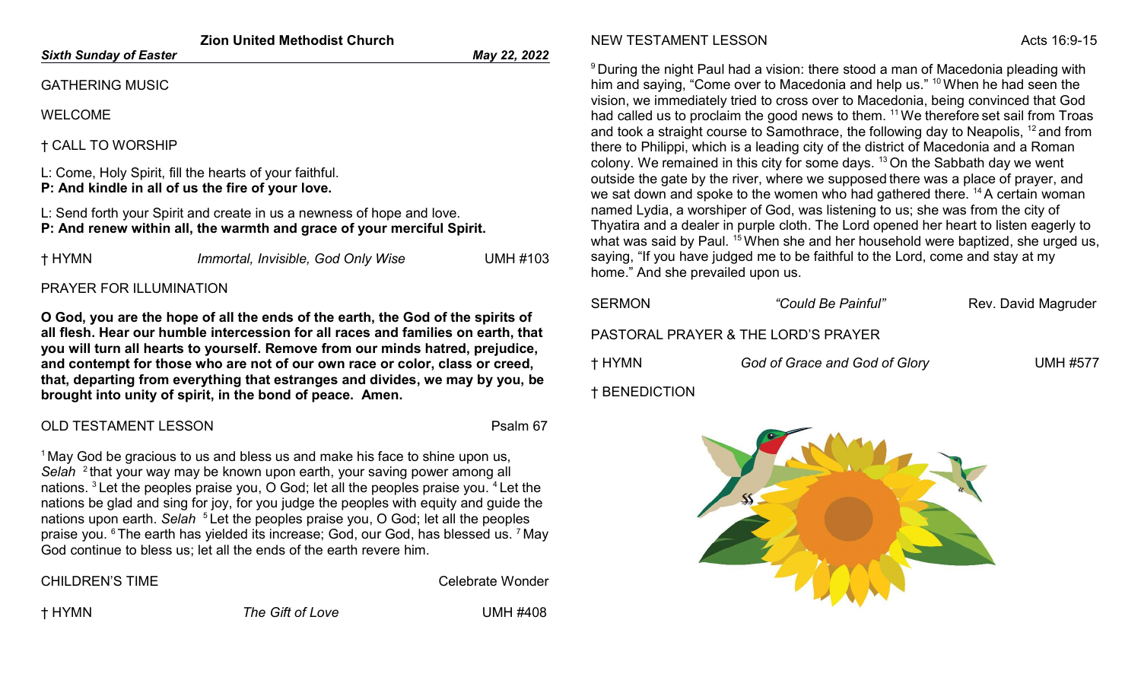| <b>Zion United Methodist Church</b>                                                                                                              |                                    |                 | <b>NEW</b>                                    |
|--------------------------------------------------------------------------------------------------------------------------------------------------|------------------------------------|-----------------|-----------------------------------------------|
| <b>Sixth Sunday of Easter</b>                                                                                                                    |                                    | May 22, 2022    |                                               |
| <b>GATHERING MUSIC</b><br><b>WELCOME</b>                                                                                                         |                                    |                 | <sup>9</sup> Duri<br>him a<br>vision<br>had c |
| <b>† CALL TO WORSHIP</b>                                                                                                                         |                                    |                 | and to<br>there                               |
| L: Come, Holy Spirit, fill the hearts of your faithful.<br>P: And kindle in all of us the fire of your love.                                     |                                    |                 | colon<br>outsic<br>we sa                      |
| L: Send forth your Spirit and create in us a newness of hope and love.<br>P: And renew within all, the warmth and grace of your merciful Spirit. |                                    |                 | name<br>Thyat<br>what                         |
| † HYMN                                                                                                                                           | Immortal, Invisible, God Only Wise | <b>UMH #103</b> | sayin<br>home                                 |

## PRAYER FOR ILLUMINATION

O God, you are the hope of all the ends of the earth, the God of the spirits of all flesh. Hear our humble intercession for all races and families on earth, that you will turn all hearts to yourself. Remove from our minds hatred, prejudice, and contempt for those who are not of our own race or color, class or creed, that, departing from everything that estranges and divides, we may by you, be brought into unity of spirit, in the bond of peace. Amen.

## OLD TESTAMENT LESSON PSALM AND THE PSALM 67

 $1$ May God be gracious to us and bless us and make his face to shine upon us, Selah <sup>2</sup> that your way may be known upon earth, your saving power among all nations. <sup>3</sup>Let the peoples praise you, O God; let all the peoples praise you. <sup>4</sup>Let the nations be glad and sing for joy, for you judge the peoples with equity and guide the nations upon earth. Selah <sup>5</sup> Let the peoples praise you, O God; let all the peoples praise you. <sup>6</sup>The earth has yielded its increase; God, our God, has blessed us. <sup>7</sup>May God continue to bless us; let all the ends of the earth revere him.

| CHILDREN'S TIME |
|-----------------|
|-----------------|

Celebrate Wonder

† HYMN The Gift of Love UMH #408

## TESTAMENT LESSON Acts 16:9-15

ng the night Paul had a vision: there stood a man of Macedonia pleading with and saying, "Come over to Macedonia and help us."  $10$  When he had seen the 1, we immediately tried to cross over to Macedonia, being convinced that God called us to proclaim the good news to them.  $^{11}$  We therefore set sail from Troas ook a straight course to Samothrace, the following day to Neapolis,  $^{12}$  and from to Philippi, which is a leading city of the district of Macedonia and a Roman  $xy$ . We remained in this city for some days.  $13$  On the Sabbath day we went de the gate by the river, where we supposed there was a place of prayer, and at down and spoke to the women who had gathered there.  $^{14}$ A certain woman ed Lydia, a worshiper of God, was listening to us; she was from the city of tira and a dealer in purple cloth. The Lord opened her heart to listen eagerly to was said by Paul. <sup>15</sup> When she and her household were baptized, she urged us, g, "If you have judged me to be faithful to the Lord, come and stay at my ." And she prevailed upon us.

| SERMON               | "Could Be Painful"                  | Rev. David Magruder |
|----------------------|-------------------------------------|---------------------|
|                      | PASTORAL PRAYER & THE LORD'S PRAYER |                     |
| † HYMN               | God of Grace and God of Glory       | <b>UMH #577</b>     |
| <b>† BENEDICTION</b> |                                     |                     |